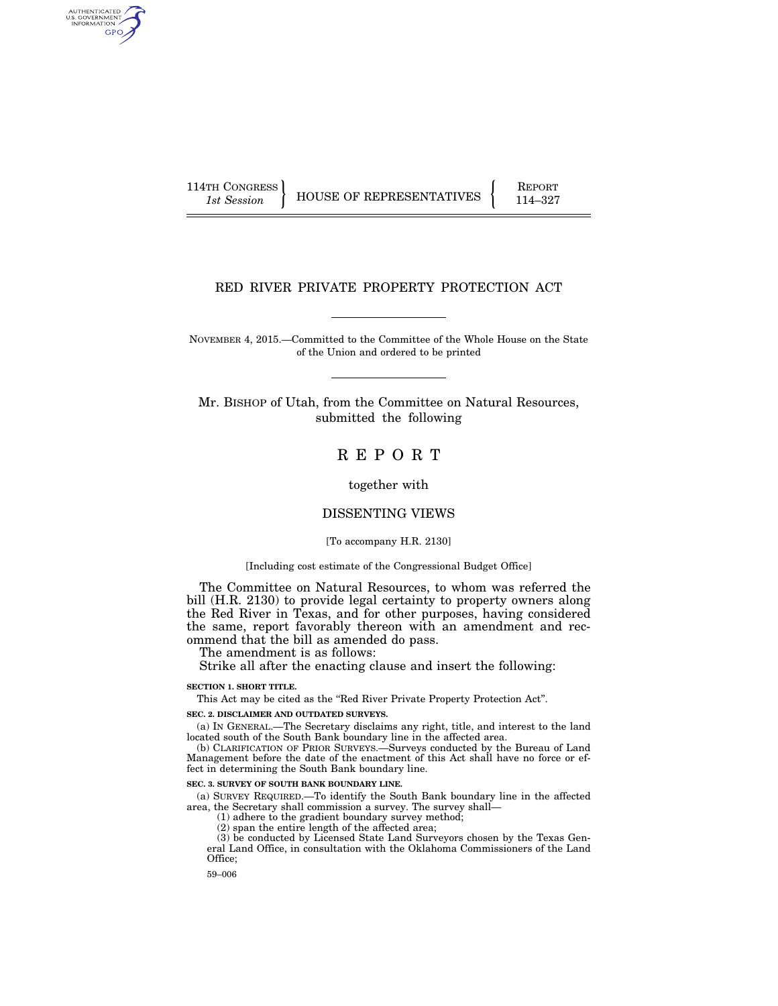AUTHENTICATED<br>U.S. GOVERNMENT<br>INFORMATION GPO

114TH CONGRESS HOUSE OF REPRESENTATIVES FEPORT 114–327

# RED RIVER PRIVATE PROPERTY PROTECTION ACT

NOVEMBER 4, 2015.—Committed to the Committee of the Whole House on the State of the Union and ordered to be printed

Mr. BISHOP of Utah, from the Committee on Natural Resources, submitted the following

R E P O R T

together with

# DISSENTING VIEWS

[To accompany H.R. 2130]

## [Including cost estimate of the Congressional Budget Office]

The Committee on Natural Resources, to whom was referred the bill (H.R. 2130) to provide legal certainty to property owners along the Red River in Texas, and for other purposes, having considered the same, report favorably thereon with an amendment and recommend that the bill as amended do pass.

The amendment is as follows:

Strike all after the enacting clause and insert the following:

#### **SECTION 1. SHORT TITLE.**

This Act may be cited as the ''Red River Private Property Protection Act''.

### **SEC. 2. DISCLAIMER AND OUTDATED SURVEYS.**

(a) IN GENERAL.—The Secretary disclaims any right, title, and interest to the land located south of the South Bank boundary line in the affected area.

(b) CLARIFICATION OF PRIOR SURVEYS.—Surveys conducted by the Bureau of Land Management before the date of the enactment of this Act shall have no force or effect in determining the South Bank boundary line.

### **SEC. 3. SURVEY OF SOUTH BANK BOUNDARY LINE**

(a) SURVEY REQUIRED.—To identify the South Bank boundary line in the affected area, the Secretary shall commission a survey. The survey shall—

(1) adhere to the gradient boundary survey method;

(2) span the entire length of the affected area;

(3) be conducted by Licensed State Land Surveyors chosen by the Texas General Land Office, in consultation with the Oklahoma Commissioners of the Land Office;

59–006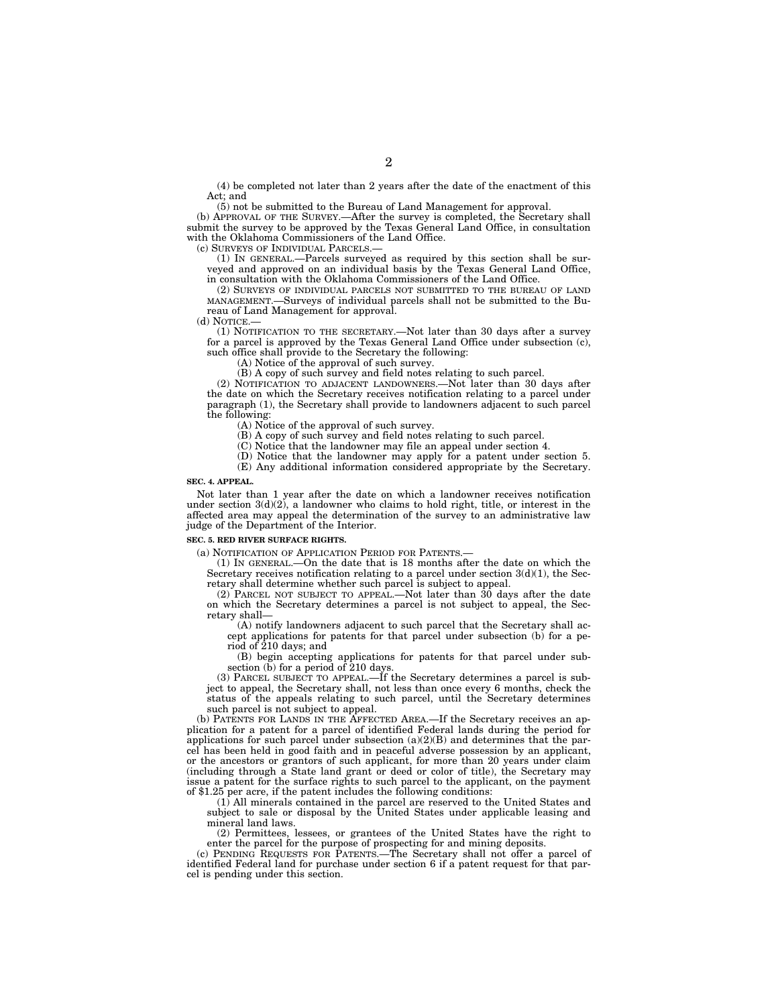(4) be completed not later than 2 years after the date of the enactment of this Act; and

(5) not be submitted to the Bureau of Land Management for approval.

(b) APPROVAL OF THE SURVEY.—After the survey is completed, the Secretary shall submit the survey to be approved by the Texas General Land Office, in consultation with the Oklahoma Commissioners of the Land Office.

(c) SURVEYS OF INDIVIDUAL PARCELS.—

(1) IN GENERAL.—Parcels surveyed as required by this section shall be surveyed and approved on an individual basis by the Texas General Land Office, in consultation with the Oklahoma Commissioners of the Land Office.

(2) SURVEYS OF INDIVIDUAL PARCELS NOT SUBMITTED TO THE BUREAU OF LAND MANAGEMENT.—Surveys of individual parcels shall not be submitted to the Bureau of Land Management for approval.

(d) NOTICE.—

(1) NOTIFICATION TO THE SECRETARY.—Not later than 30 days after a survey for a parcel is approved by the Texas General Land Office under subsection (c), such office shall provide to the Secretary the following:

(A) Notice of the approval of such survey.

(B) A copy of such survey and field notes relating to such parcel.

(2) NOTIFICATION TO ADJACENT LANDOWNERS.—Not later than 30 days after the date on which the Secretary receives notification relating to a parcel under paragraph (1), the Secretary shall provide to landowners adjacent to such parcel the following:

(A) Notice of the approval of such survey.

(B) A copy of such survey and field notes relating to such parcel.

(C) Notice that the landowner may file an appeal under section 4.

(D) Notice that the landowner may apply for a patent under section 5.

(E) Any additional information considered appropriate by the Secretary.

## **SEC. 4. APPEAL.**

Not later than 1 year after the date on which a landowner receives notification under section  $3(d)(2)$ , a landowner who claims to hold right, title, or interest in the affected area may appeal the determination of the survey to an administrative law judge of the Department of the Interior.

#### **SEC. 5. RED RIVER SURFACE RIGHTS.**

(a) NOTIFICATION OF APPLICATION PERIOD FOR PATENTS.—

(1) IN GENERAL.—On the date that is 18 months after the date on which the Secretary receives notification relating to a parcel under section  $3(d)(1)$ , the Secretary shall determine whether such parcel is subject to appeal.

(2) PARCEL NOT SUBJECT TO APPEAL.—Not later than 30 days after the date on which the Secretary determines a parcel is not subject to appeal, the Secretary shall—

(A) notify landowners adjacent to such parcel that the Secretary shall accept applications for patents for that parcel under subsection (b) for a period of 210 days; and

(B) begin accepting applications for patents for that parcel under subsection  $(b)$  for a period of 210 days.

(3) PARCEL SUBJECT TO APPEAL.—If the Secretary determines a parcel is subject to appeal, the Secretary shall, not less than once every 6 months, check the status of the appeals relating to such parcel, until the Secretary determines such parcel is not subject to appeal.

(b) PATENTS FOR LANDS IN THE AFFECTED AREA.—If the Secretary receives an application for a patent for a parcel of identified Federal lands during the period for applications for such parcel under subsection (a)(2)(B) and determines that the parcel has been held in good faith and in peaceful adverse possession by an applicant, or the ancestors or grantors of such applicant, for more than 20 years under claim (including through a State land grant or deed or color of title), the Secretary may issue a patent for the surface rights to such parcel to the applicant, on the payment of \$1.25 per acre, if the patent includes the following conditions:

(1) All minerals contained in the parcel are reserved to the United States and subject to sale or disposal by the United States under applicable leasing and mineral land laws.

(2) Permittees, lessees, or grantees of the United States have the right to enter the parcel for the purpose of prospecting for and mining deposits.

(c) PENDING REQUESTS FOR PATENTS.—The Secretary shall not offer a parcel of identified Federal land for purchase under section 6 if a patent request for that parcel is pending under this section.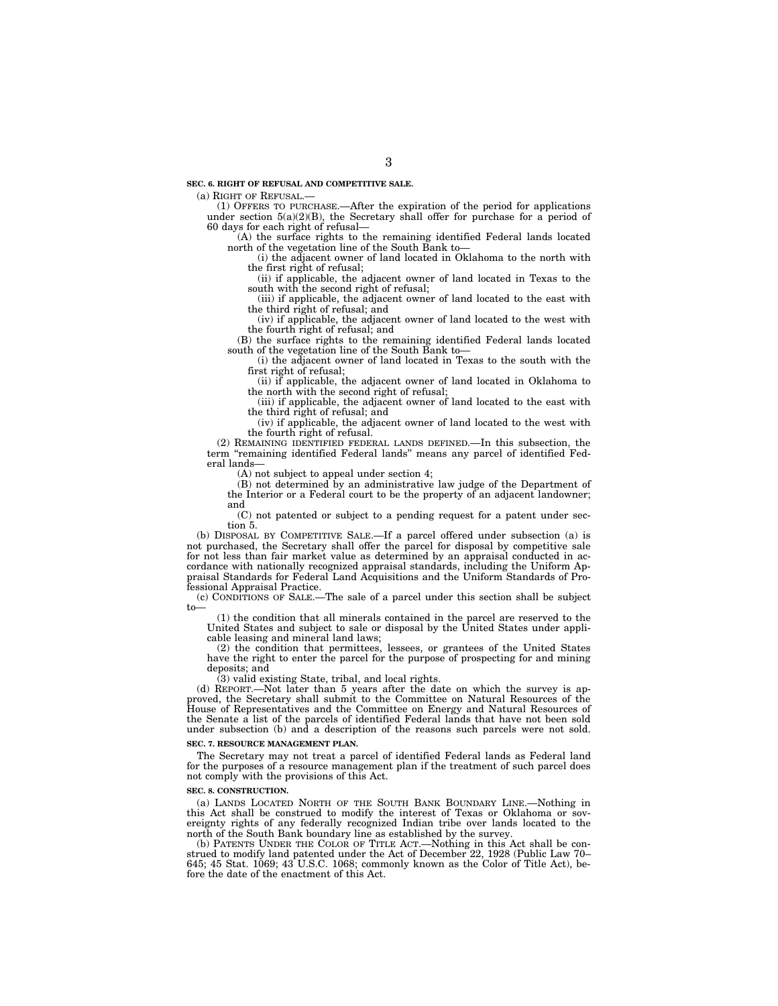(a) RIGHT OF REFUSAL.—

(1) OFFERS TO PURCHASE.—After the expiration of the period for applications under section  $5(a)(2)(B)$ , the Secretary shall offer for purchase for a period of 60 days for each right of refusal—

(A) the surface rights to the remaining identified Federal lands located north of the vegetation line of the South Bank to—

(i) the adjacent owner of land located in Oklahoma to the north with the first right of refusal;

(ii) if applicable, the adjacent owner of land located in Texas to the south with the second right of refusal;

(iii) if applicable, the adjacent owner of land located to the east with the third right of refusal; and

(iv) if applicable, the adjacent owner of land located to the west with the fourth right of refusal; and

(B) the surface rights to the remaining identified Federal lands located south of the vegetation line of the South Bank to—

(i) the adjacent owner of land located in Texas to the south with the first right of refusal;

(ii) if applicable, the adjacent owner of land located in Oklahoma to the north with the second right of refusal;

(iii) if applicable, the adjacent owner of land located to the east with the third right of refusal; and

(iv) if applicable, the adjacent owner of land located to the west with the fourth right of refusal.

(2) REMAINING IDENTIFIED FEDERAL LANDS DEFINED.—In this subsection, the term ''remaining identified Federal lands'' means any parcel of identified Federal lands—

(A) not subject to appeal under section 4;

(B) not determined by an administrative law judge of the Department of the Interior or a Federal court to be the property of an adjacent landowner; and

(C) not patented or subject to a pending request for a patent under section 5.

(b) DISPOSAL BY COMPETITIVE SALE.—If a parcel offered under subsection (a) is not purchased, the Secretary shall offer the parcel for disposal by competitive sale for not less than fair market value as determined by an appraisal conducted in accordance with nationally recognized appraisal standards, including the Uniform Appraisal Standards for Federal Land Acquisitions and the Uniform Standards of Professional Appraisal Practice.

(c) CONDITIONS OF SALE.—The sale of a parcel under this section shall be subject to—

(1) the condition that all minerals contained in the parcel are reserved to the United States and subject to sale or disposal by the United States under applicable leasing and mineral land laws;

(2) the condition that permittees, lessees, or grantees of the United States have the right to enter the parcel for the purpose of prospecting for and mining deposits; and

(3) valid existing State, tribal, and local rights.

(d) REPORT.—Not later than 5 years after the date on which the survey is approved, the Secretary shall submit to the Committee on Natural Resources of the House of Representatives and the Committee on Energy and Natural Resources of the Senate a list of the parcels of identified Federal lands that have not been sold under subsection (b) and a description of the reasons such parcels were not sold.

#### **SEC. 7. RESOURCE MANAGEMENT PLAN.**

The Secretary may not treat a parcel of identified Federal lands as Federal land for the purposes of a resource management plan if the treatment of such parcel does not comply with the provisions of this Act.

#### **SEC. 8. CONSTRUCTION.**

(a) LANDS LOCATED NORTH OF THE SOUTH BANK BOUNDARY LINE.—Nothing in this Act shall be construed to modify the interest of Texas or Oklahoma or sovereignty rights of any federally recognized Indian tribe over lands located to the north of the South Bank boundary line as established by the survey.

(b) PATENTS UNDER THE COLOR OF TITLE ACT.—Nothing in this Act shall be construed to modify land patented under the Act of December 22, 1928 (Public Law 70– 645; 45 Stat. 1069; 43 U.S.C. 1068; commonly known as the Color of Title Act), before the date of the enactment of this Act.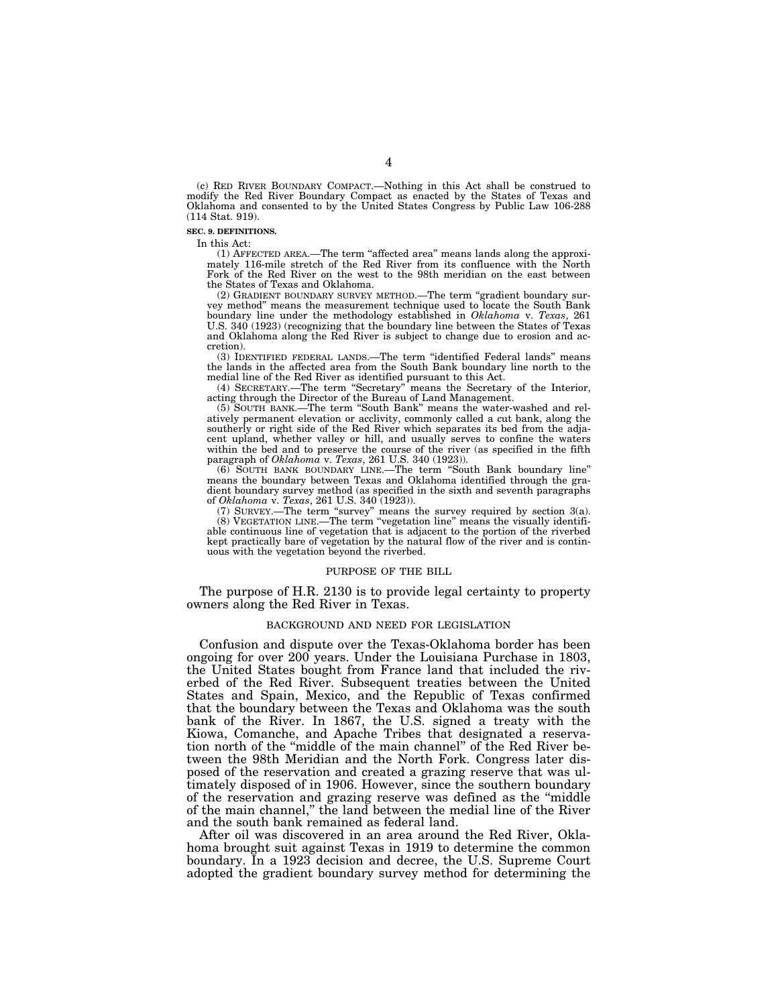(c) RED RIVER BOUNDARY COMPACT.—Nothing in this Act shall be construed to modify the Red River Boundary Compact as enacted by the States of Texas and Oklahoma and consented to by the United States Congress by Public Law 106-288 (114 Stat. 919).

### **SEC. 9. DEFINITIONS.**

In this Act:

(1) AFFECTED AREA.—The term ''affected area'' means lands along the approximately 116-mile stretch of the Red River from its confluence with the North Fork of the Red River on the west to the 98th meridian on the east between the States of Texas and Oklahoma.

(2) GRADIENT BOUNDARY SURVEY METHOD.—The term ''gradient boundary survey method'' means the measurement technique used to locate the South Bank boundary line under the methodology established in *Oklahoma* v. *Texas*, 261 U.S. 340 (1923) (recognizing that the boundary line between the States of Texas and Oklahoma along the Red River is subject to change due to erosion and accretion).

(3) IDENTIFIED FEDERAL LANDS.—The term ''identified Federal lands'' means the lands in the affected area from the South Bank boundary line north to the medial line of the Red River as identified pursuant to this Act.

(4) SECRETARY.—The term ''Secretary'' means the Secretary of the Interior, acting through the Director of the Bureau of Land Management.

(5) SOUTH BANK.—The term ''South Bank'' means the water-washed and relatively permanent elevation or acclivity, commonly called a cut bank, along the southerly or right side of the Red River which separates its bed from the adjacent upland, whether valley or hill, and usually serves to confine the waters within the bed and to preserve the course of the river (as specified in the fifth paragraph of *Oklahoma* v. *Texas*, 261 U.S. 340 (1923)).

(6) SOUTH BANK BOUNDARY LINE.—The term ''South Bank boundary line'' means the boundary between Texas and Oklahoma identified through the gradient boundary survey method (as specified in the sixth and seventh paragraphs of *Oklahoma* v. *Texas*, 261 U.S. 340 (1923)).

(7) SURVEY.—The term "survey" means the survey required by section  $3(a)$ . (8) VEGETATION LINE.—The term ''vegetation line'' means the visually identifiable continuous line of vegetation that is adjacent to the portion of the riverbed kept practically bare of vegetation by the natural flow of the river and is continuous with the vegetation beyond the riverbed.

#### PURPOSE OF THE BILL

The purpose of H.R. 2130 is to provide legal certainty to property owners along the Red River in Texas.

### BACKGROUND AND NEED FOR LEGISLATION

Confusion and dispute over the Texas-Oklahoma border has been ongoing for over 200 years. Under the Louisiana Purchase in 1803, the United States bought from France land that included the riverbed of the Red River. Subsequent treaties between the United States and Spain, Mexico, and the Republic of Texas confirmed that the boundary between the Texas and Oklahoma was the south bank of the River. In 1867, the U.S. signed a treaty with the Kiowa, Comanche, and Apache Tribes that designated a reservation north of the ''middle of the main channel'' of the Red River between the 98th Meridian and the North Fork. Congress later disposed of the reservation and created a grazing reserve that was ultimately disposed of in 1906. However, since the southern boundary of the reservation and grazing reserve was defined as the ''middle of the main channel,'' the land between the medial line of the River and the south bank remained as federal land.

After oil was discovered in an area around the Red River, Oklahoma brought suit against Texas in 1919 to determine the common boundary. In a 1923 decision and decree, the U.S. Supreme Court adopted the gradient boundary survey method for determining the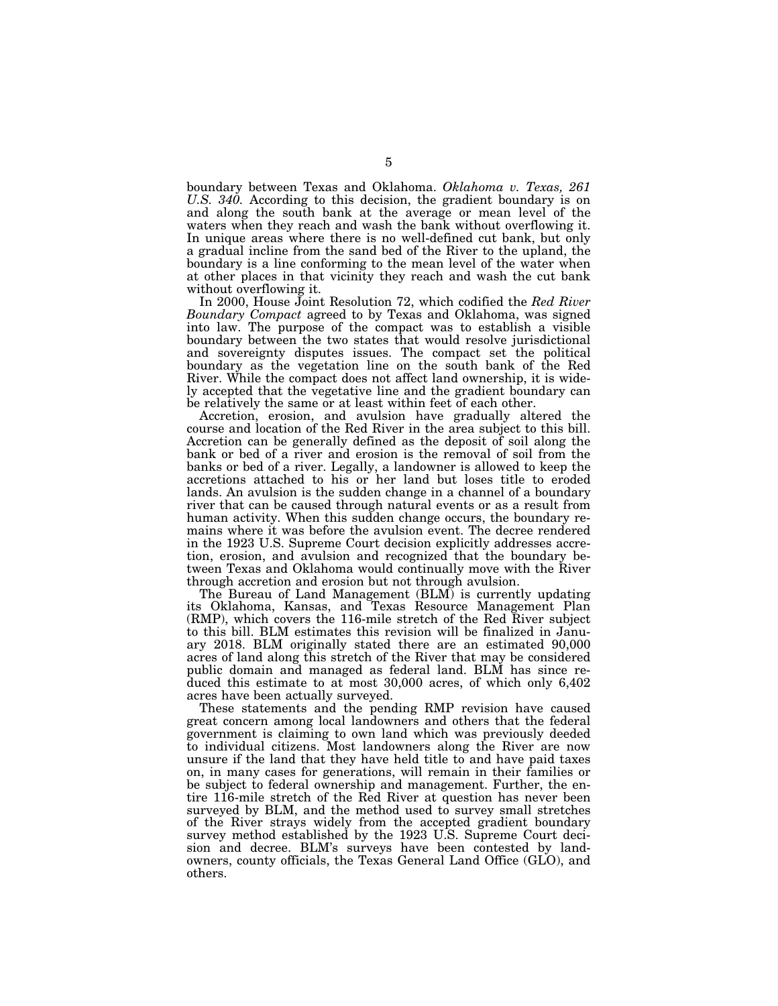boundary between Texas and Oklahoma. *Oklahoma v. Texas, 261 U.S. 340.* According to this decision, the gradient boundary is on and along the south bank at the average or mean level of the waters when they reach and wash the bank without overflowing it. In unique areas where there is no well-defined cut bank, but only a gradual incline from the sand bed of the River to the upland, the boundary is a line conforming to the mean level of the water when at other places in that vicinity they reach and wash the cut bank without overflowing it.

In 2000, House Joint Resolution 72, which codified the *Red River Boundary Compact* agreed to by Texas and Oklahoma, was signed into law. The purpose of the compact was to establish a visible boundary between the two states that would resolve jurisdictional and sovereignty disputes issues. The compact set the political boundary as the vegetation line on the south bank of the Red River. While the compact does not affect land ownership, it is widely accepted that the vegetative line and the gradient boundary can be relatively the same or at least within feet of each other.

Accretion, erosion, and avulsion have gradually altered the course and location of the Red River in the area subject to this bill. Accretion can be generally defined as the deposit of soil along the bank or bed of a river and erosion is the removal of soil from the banks or bed of a river. Legally, a landowner is allowed to keep the accretions attached to his or her land but loses title to eroded lands. An avulsion is the sudden change in a channel of a boundary river that can be caused through natural events or as a result from human activity. When this sudden change occurs, the boundary remains where it was before the avulsion event. The decree rendered in the 1923 U.S. Supreme Court decision explicitly addresses accretion, erosion, and avulsion and recognized that the boundary between Texas and Oklahoma would continually move with the River through accretion and erosion but not through avulsion.

The Bureau of Land Management (BLM) is currently updating its Oklahoma, Kansas, and Texas Resource Management Plan (RMP), which covers the 116-mile stretch of the Red River subject to this bill. BLM estimates this revision will be finalized in January 2018. BLM originally stated there are an estimated 90,000 acres of land along this stretch of the River that may be considered public domain and managed as federal land. BLM has since reduced this estimate to at most 30,000 acres, of which only 6,402 acres have been actually surveyed.

These statements and the pending RMP revision have caused great concern among local landowners and others that the federal government is claiming to own land which was previously deeded to individual citizens. Most landowners along the River are now unsure if the land that they have held title to and have paid taxes on, in many cases for generations, will remain in their families or be subject to federal ownership and management. Further, the entire 116-mile stretch of the Red River at question has never been surveyed by BLM, and the method used to survey small stretches of the River strays widely from the accepted gradient boundary survey method established by the 1923 U.S. Supreme Court decision and decree. BLM's surveys have been contested by landowners, county officials, the Texas General Land Office (GLO), and others.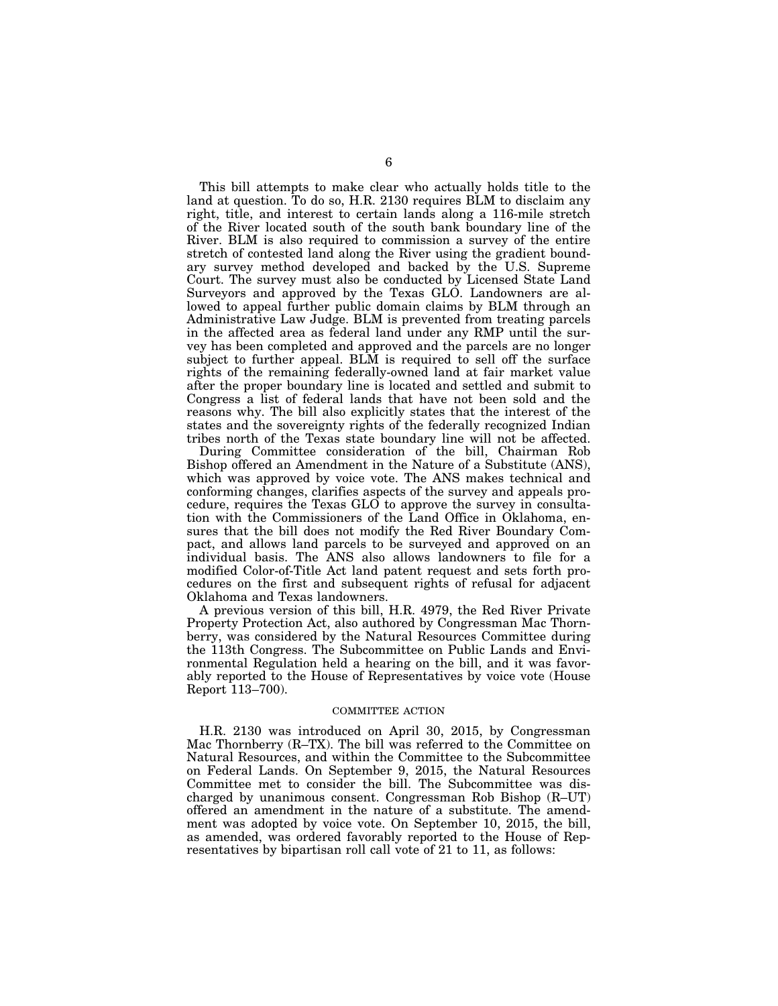This bill attempts to make clear who actually holds title to the land at question. To do so, H.R. 2130 requires BLM to disclaim any right, title, and interest to certain lands along a 116-mile stretch of the River located south of the south bank boundary line of the River. BLM is also required to commission a survey of the entire stretch of contested land along the River using the gradient boundary survey method developed and backed by the U.S. Supreme Court. The survey must also be conducted by Licensed State Land Surveyors and approved by the Texas GLO. Landowners are allowed to appeal further public domain claims by BLM through an Administrative Law Judge. BLM is prevented from treating parcels in the affected area as federal land under any RMP until the survey has been completed and approved and the parcels are no longer subject to further appeal. BLM is required to sell off the surface rights of the remaining federally-owned land at fair market value after the proper boundary line is located and settled and submit to Congress a list of federal lands that have not been sold and the reasons why. The bill also explicitly states that the interest of the states and the sovereignty rights of the federally recognized Indian tribes north of the Texas state boundary line will not be affected.

During Committee consideration of the bill, Chairman Rob Bishop offered an Amendment in the Nature of a Substitute (ANS), which was approved by voice vote. The ANS makes technical and conforming changes, clarifies aspects of the survey and appeals procedure, requires the Texas GLO to approve the survey in consultation with the Commissioners of the Land Office in Oklahoma, ensures that the bill does not modify the Red River Boundary Compact, and allows land parcels to be surveyed and approved on an individual basis. The ANS also allows landowners to file for a modified Color-of-Title Act land patent request and sets forth procedures on the first and subsequent rights of refusal for adjacent Oklahoma and Texas landowners.

A previous version of this bill, H.R. 4979, the Red River Private Property Protection Act, also authored by Congressman Mac Thornberry, was considered by the Natural Resources Committee during the 113th Congress. The Subcommittee on Public Lands and Environmental Regulation held a hearing on the bill, and it was favorably reported to the House of Representatives by voice vote (House Report 113–700).

## COMMITTEE ACTION

H.R. 2130 was introduced on April 30, 2015, by Congressman Mac Thornberry (R–TX). The bill was referred to the Committee on Natural Resources, and within the Committee to the Subcommittee on Federal Lands. On September 9, 2015, the Natural Resources Committee met to consider the bill. The Subcommittee was discharged by unanimous consent. Congressman Rob Bishop (R–UT) offered an amendment in the nature of a substitute. The amendment was adopted by voice vote. On September 10, 2015, the bill, as amended, was ordered favorably reported to the House of Representatives by bipartisan roll call vote of 21 to 11, as follows: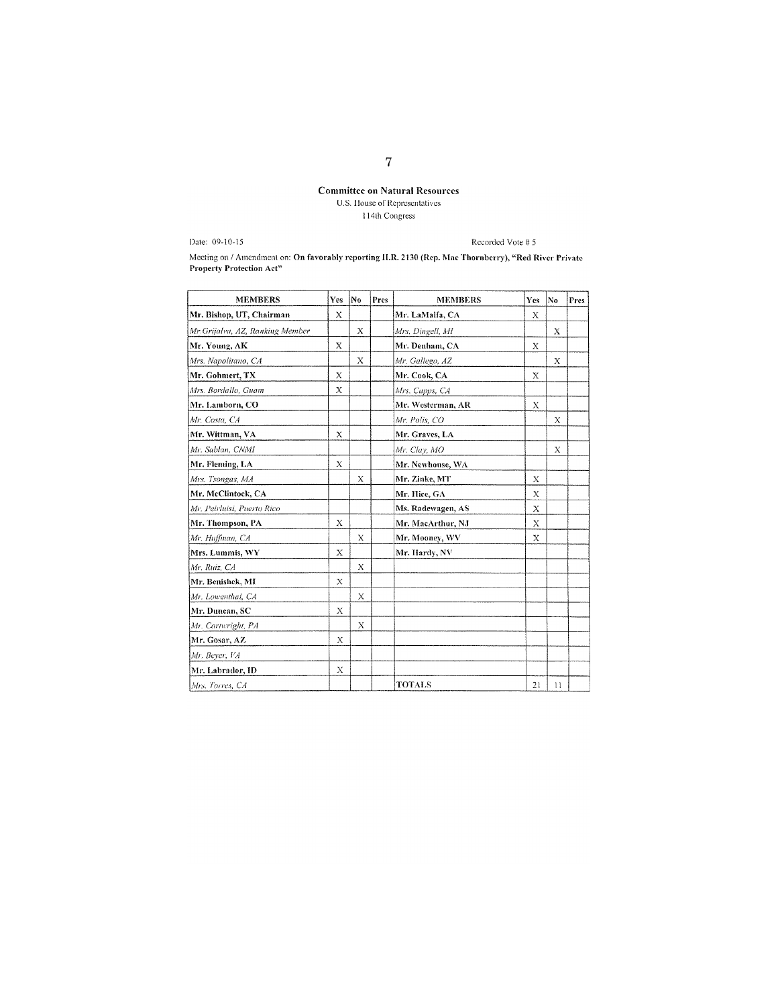# **Committee on Natural Resources** U.S. House of Representatives 114th Congress

Date: 09-10-15

Recorded Vote # 5

Meeting on / Amendment on: On favorably reporting II.R. 2130 (Rep. Mac Thornberry), "Red River Private Property Protection Act"

| <b>MEMBERS</b>                  | <b>Yes</b> | N <sub>0</sub> | Pres | <b>MEMBERS</b>    | Yes      | No           | Pres |
|---------------------------------|------------|----------------|------|-------------------|----------|--------------|------|
| Mr. Bishop, UT, Chairman        | X          |                |      | Mr. LaMalfa, CA   | X        |              |      |
| Mr.Grijalva, AZ, Ranking Member |            | X              |      | Mrs. Dingell, MI  |          | X            |      |
| Mr. Young, AK                   | X          |                |      | Mr. Denham, CA    | X        |              |      |
| Mrs. Napolitano, CA             |            | X              |      | Mr. Gallego, AZ   |          | Х            |      |
| Mr. Gohmert, TX                 | X          |                |      | Mr. Cook, CA      | $\bf{X}$ |              |      |
| Mrs. Bordallo, Guam             | X          |                |      | Mrs. Capps, CA    |          |              |      |
| Mr. Lamborn, CO                 |            |                |      | Mr. Westerman, AR | X        |              |      |
| Mr. Costa, CA                   |            |                |      | Mr. Polis, CO     |          | X            |      |
| Mr. Wittman, VA                 | X          |                |      | Mr. Graves, LA    |          |              |      |
| Mr. Sablan, CNMI                |            |                |      | Mr. Clay, MO      |          | X            |      |
| Mr. Fleming, LA                 | Х          |                |      | Mr. Newhouse, WA  |          |              |      |
| Mrs. Tsongas, MA                |            | X              |      | Mr. Zinke, MT     | Х        |              |      |
| Mr. McClintock, CA              |            |                |      | Mr. Hice, GA      | Х        |              |      |
| Mr. Peirluisi, Puerto Rico      |            |                |      | Ms. Radewagen, AS | X        |              |      |
| Mr. Thompson, PA                | X          |                |      | Mr. MacArthur, NJ | X        |              |      |
| Mr. Huffman, CA                 |            | X              |      | Mr. Mooney, WV    | X        |              |      |
| Mrs. Lummis, WY                 | X          |                |      | Mr. Hardy, NV     |          |              |      |
| Mr. Ruiz, CA                    |            | X              |      |                   |          |              |      |
| Mr. Benishek, MI                | X          |                |      |                   |          |              |      |
| Mr. Lowenthal, CA               |            | X              |      |                   |          |              |      |
| Mr. Duncan, SC                  | Х          |                |      |                   |          |              |      |
| Mr. Cartwright, PA              |            | Х              |      |                   |          |              |      |
| Mr. Gosar, AZ                   | Х          |                |      |                   |          |              |      |
| Mr. Beyer, VA                   |            |                |      |                   |          |              |      |
| Mr. Labrador, ID                | Х          |                |      |                   |          |              |      |
| Mrs. Torres, CA                 |            |                |      | TOTALS            | 21       | $\mathbf{1}$ |      |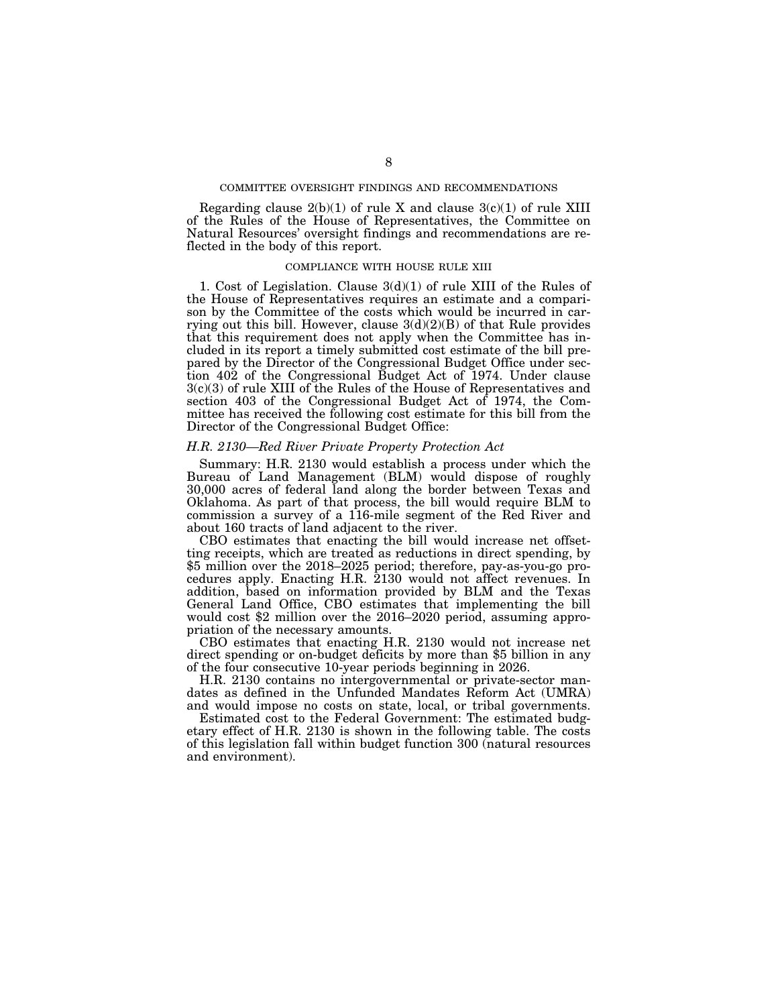# COMMITTEE OVERSIGHT FINDINGS AND RECOMMENDATIONS

Regarding clause  $2(b)(1)$  of rule X and clause  $3(c)(1)$  of rule XIII of the Rules of the House of Representatives, the Committee on Natural Resources' oversight findings and recommendations are reflected in the body of this report.

## COMPLIANCE WITH HOUSE RULE XIII

1. Cost of Legislation. Clause 3(d)(1) of rule XIII of the Rules of the House of Representatives requires an estimate and a comparison by the Committee of the costs which would be incurred in carrying out this bill. However, clause  $3(d)(2)(B)$  of that Rule provides that this requirement does not apply when the Committee has included in its report a timely submitted cost estimate of the bill prepared by the Director of the Congressional Budget Office under section 402 of the Congressional Budget Act of 1974. Under clause 3(c)(3) of rule XIII of the Rules of the House of Representatives and section 403 of the Congressional Budget Act of 1974, the Committee has received the following cost estimate for this bill from the Director of the Congressional Budget Office:

# *H.R. 2130—Red River Private Property Protection Act*

Summary: H.R. 2130 would establish a process under which the Bureau of Land Management (BLM) would dispose of roughly 30,000 acres of federal land along the border between Texas and Oklahoma. As part of that process, the bill would require BLM to commission a survey of a 116-mile segment of the Red River and about 160 tracts of land adjacent to the river.

CBO estimates that enacting the bill would increase net offsetting receipts, which are treated as reductions in direct spending, by \$5 million over the 2018–2025 period; therefore, pay-as-you-go procedures apply. Enacting H.R. 2130 would not affect revenues. In addition, based on information provided by BLM and the Texas General Land Office, CBO estimates that implementing the bill would cost \$2 million over the 2016–2020 period, assuming appro-

priation of the necessary amounts.<br>CBO estimates that enacting H.R. 2130 would not increase net direct spending or on-budget deficits by more than \$5 billion in any of the four consecutive 10-year periods beginning in 2026.

H.R. 2130 contains no intergovernmental or private-sector mandates as defined in the Unfunded Mandates Reform Act (UMRA) and would impose no costs on state, local, or tribal governments.

Estimated cost to the Federal Government: The estimated budgetary effect of H.R. 2130 is shown in the following table. The costs of this legislation fall within budget function 300 (natural resources and environment).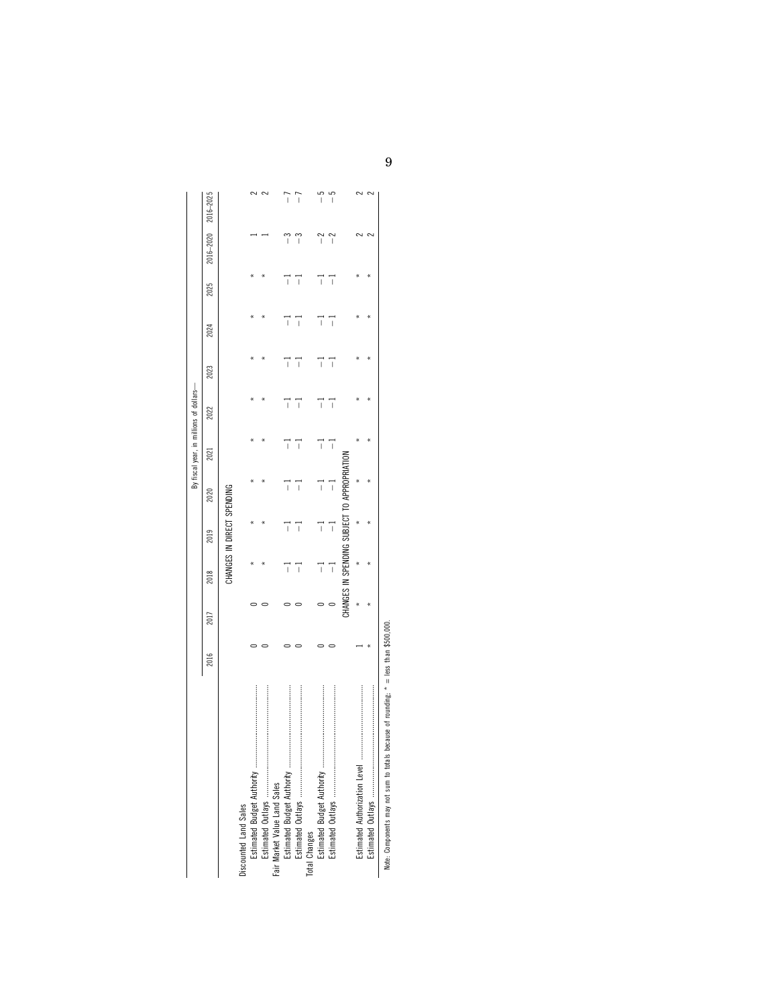|                              |      |           |                |                           |                          | By fiscal year, in millions of dollars- |                          |                          |                          |      |                          |                          |
|------------------------------|------|-----------|----------------|---------------------------|--------------------------|-----------------------------------------|--------------------------|--------------------------|--------------------------|------|--------------------------|--------------------------|
|                              | 2016 | 2017      | 2018           | 2019                      | 2020                     | 2021                                    | 2022                     | 2023                     | 2024                     | 2025 | 2016-2020                | $2016 - 202$             |
|                              |      |           |                | CHANGES IN DIRECT SPENDIN |                          |                                         |                          |                          |                          |      |                          |                          |
| Discounted Land Sales        |      |           |                |                           |                          |                                         |                          |                          |                          |      |                          |                          |
|                              |      |           |                |                           |                          |                                         |                          |                          |                          |      |                          |                          |
|                              |      |           |                |                           |                          |                                         |                          |                          |                          |      |                          |                          |
| Fair Market Value Land Sales |      |           |                |                           |                          |                                         |                          |                          |                          |      |                          |                          |
|                              |      |           |                | I                         | I                        | Ï                                       | $\overline{\phantom{a}}$ | Ï                        |                          |      | ï                        |                          |
|                              |      |           | $\overline{1}$ | $\overline{\phantom{a}}$  | $\overline{\phantom{a}}$ | $\overline{1}$                          | $\overline{\phantom{a}}$ | $\overline{\phantom{a}}$ | $\overline{1}$           | Í    | ĩ                        | Ī                        |
| Total Changes                |      |           |                |                           |                          |                                         |                          |                          |                          |      |                          |                          |
|                              |      |           | Ï              | $\overline{\phantom{a}}$  | $\overline{\phantom{a}}$ | $\overline{\phantom{a}}$                | Ï                        | Ī                        | $\overline{\phantom{a}}$ | Ï    | $\overline{\phantom{a}}$ | $\overline{\phantom{a}}$ |
|                              |      |           | $\overline{1}$ | $\overline{1}$            | I                        | $\overline{1}$                          | $\overline{\phantom{a}}$ | Ī                        | ī                        | ť    | í                        | Í                        |
|                              |      | CHANGES I |                | N SPENDING SUBJECT TV     |                          |                                         |                          |                          |                          |      |                          |                          |
|                              |      |           |                |                           |                          |                                         |                          |                          |                          |      |                          |                          |
|                              |      |           |                |                           |                          |                                         |                          |                          |                          |      |                          |                          |
|                              |      |           |                |                           |                          |                                         |                          |                          |                          |      |                          |                          |

Note: Components may not sum to totals because of rounding; \* = less than \$500,000. Note: Components may not sum to totals because of rounding; \* = less than \$500,000.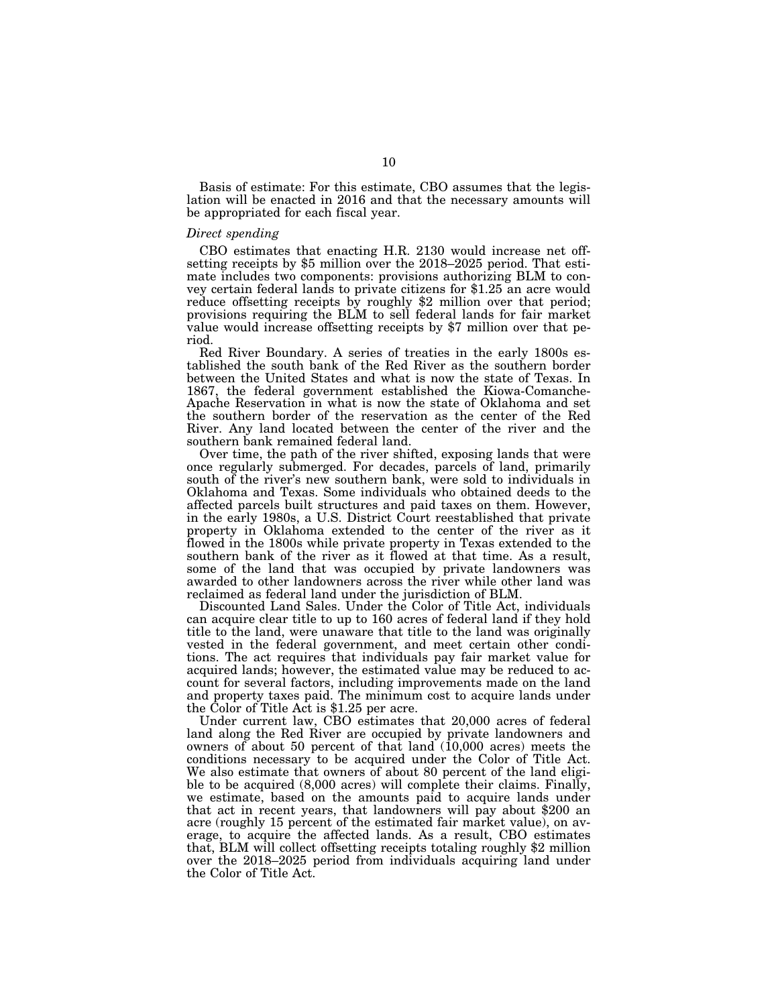Basis of estimate: For this estimate, CBO assumes that the legislation will be enacted in 2016 and that the necessary amounts will be appropriated for each fiscal year.

# *Direct spending*

CBO estimates that enacting H.R. 2130 would increase net off- setting receipts by \$5 million over the 2018–2025 period. That estimate includes two components: provisions authorizing BLM to convey certain federal lands to private citizens for \$1.25 an acre would reduce offsetting receipts by roughly \$2 million over that period; provisions requiring the BLM to sell federal lands for fair market value would increase offsetting receipts by \$7 million over that period.

Red River Boundary. A series of treaties in the early 1800s established the south bank of the Red River as the southern border between the United States and what is now the state of Texas. In 1867, the federal government established the Kiowa-Comanche-Apache Reservation in what is now the state of Oklahoma and set the southern border of the reservation as the center of the Red River. Any land located between the center of the river and the southern bank remained federal land.

Over time, the path of the river shifted, exposing lands that were once regularly submerged. For decades, parcels of land, primarily south of the river's new southern bank, were sold to individuals in Oklahoma and Texas. Some individuals who obtained deeds to the affected parcels built structures and paid taxes on them. However, in the early 1980s, a U.S. District Court reestablished that private property in Oklahoma extended to the center of the river as it flowed in the 1800s while private property in Texas extended to the southern bank of the river as it flowed at that time. As a result, some of the land that was occupied by private landowners was awarded to other landowners across the river while other land was reclaimed as federal land under the jurisdiction of BLM.

Discounted Land Sales. Under the Color of Title Act, individuals can acquire clear title to up to 160 acres of federal land if they hold title to the land, were unaware that title to the land was originally vested in the federal government, and meet certain other conditions. The act requires that individuals pay fair market value for acquired lands; however, the estimated value may be reduced to account for several factors, including improvements made on the land and property taxes paid. The minimum cost to acquire lands under the Color of Title Act is \$1.25 per acre.

Under current law, CBO estimates that 20,000 acres of federal land along the Red River are occupied by private landowners and owners of about 50 percent of that land  $(10,000)$  acres) meets the conditions necessary to be acquired under the Color of Title Act. We also estimate that owners of about 80 percent of the land eligible to be acquired (8,000 acres) will complete their claims. Finally, we estimate, based on the amounts paid to acquire lands under that act in recent years, that landowners will pay about \$200 an acre (roughly 15 percent of the estimated fair market value), on average, to acquire the affected lands. As a result, CBO estimates that, BLM will collect offsetting receipts totaling roughly \$2 million over the 2018–2025 period from individuals acquiring land under the Color of Title Act.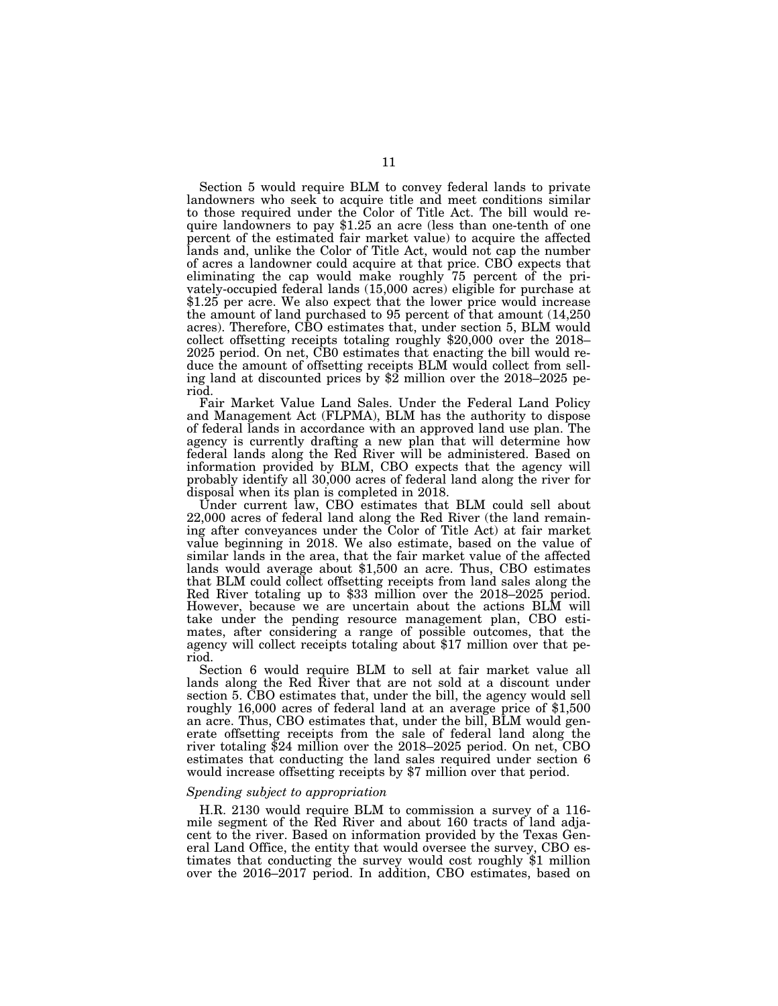Section 5 would require BLM to convey federal lands to private landowners who seek to acquire title and meet conditions similar to those required under the Color of Title Act. The bill would require landowners to pay \$1.25 an acre (less than one-tenth of one percent of the estimated fair market value) to acquire the affected lands and, unlike the Color of Title Act, would not cap the number of acres a landowner could acquire at that price. CBO expects that eliminating the cap would make roughly 75 percent of the privately-occupied federal lands (15,000 acres) eligible for purchase at \$1.25 per acre. We also expect that the lower price would increase the amount of land purchased to 95 percent of that amount (14,250 acres). Therefore, CBO estimates that, under section 5, BLM would collect offsetting receipts totaling roughly \$20,000 over the 2018– 2025 period. On net, CB0 estimates that enacting the bill would reduce the amount of offsetting receipts BLM would collect from selling land at discounted prices by \$2 million over the 2018–2025 period.

Fair Market Value Land Sales. Under the Federal Land Policy and Management Act (FLPMA), BLM has the authority to dispose of federal lands in accordance with an approved land use plan. The agency is currently drafting a new plan that will determine how federal lands along the Red River will be administered. Based on information provided by BLM, CBO expects that the agency will probably identify all 30,000 acres of federal land along the river for disposal when its plan is completed in 2018.

Under current law, CBO estimates that BLM could sell about 22,000 acres of federal land along the Red River (the land remaining after conveyances under the Color of Title Act) at fair market value beginning in 2018. We also estimate, based on the value of similar lands in the area, that the fair market value of the affected lands would average about \$1,500 an acre. Thus, CBO estimates that BLM could collect offsetting receipts from land sales along the Red River totaling up to \$33 million over the 2018–2025 period. However, because we are uncertain about the actions BLM will take under the pending resource management plan, CBO estimates, after considering a range of possible outcomes, that the agency will collect receipts totaling about \$17 million over that period.

Section 6 would require BLM to sell at fair market value all lands along the Red River that are not sold at a discount under section 5. CBO estimates that, under the bill, the agency would sell roughly 16,000 acres of federal land at an average price of \$1,500 an acre. Thus, CBO estimates that, under the bill, BLM would generate offsetting receipts from the sale of federal land along the river totaling \$24 million over the 2018–2025 period. On net, CBO estimates that conducting the land sales required under section 6 would increase offsetting receipts by \$7 million over that period.

### *Spending subject to appropriation*

H.R. 2130 would require BLM to commission a survey of a 116 mile segment of the Red River and about 160 tracts of land adjacent to the river. Based on information provided by the Texas General Land Office, the entity that would oversee the survey, CBO estimates that conducting the survey would cost roughly \$1 million over the 2016–2017 period. In addition, CBO estimates, based on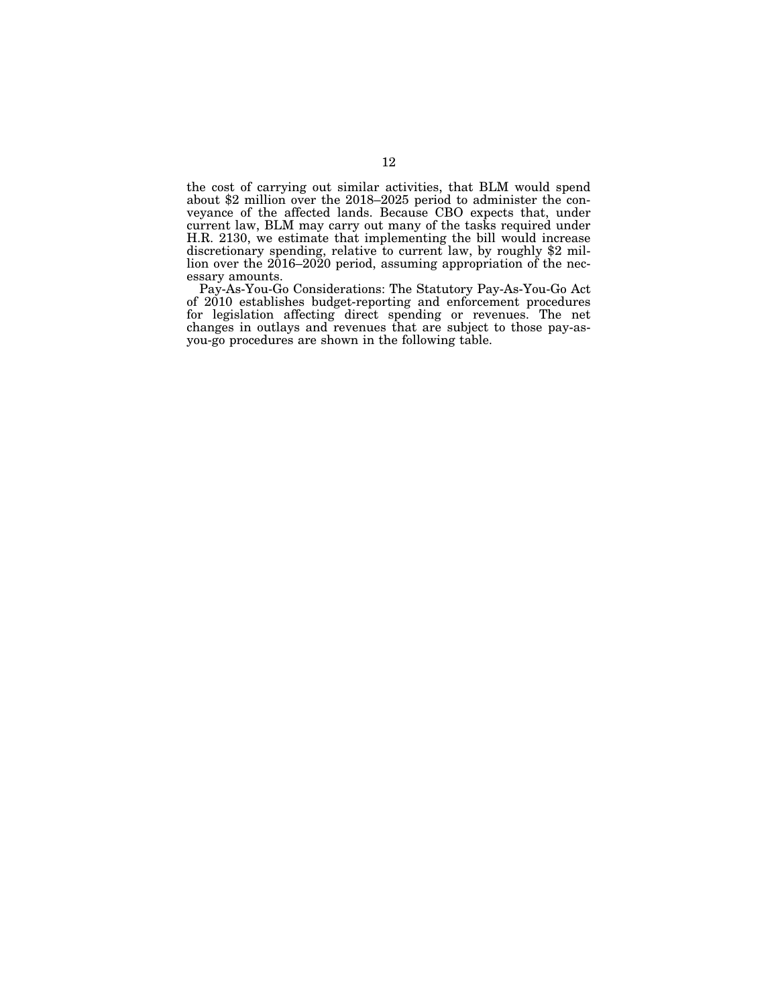the cost of carrying out similar activities, that BLM would spend about \$2 million over the 2018–2025 period to administer the conveyance of the affected lands. Because CBO expects that, under current law, BLM may carry out many of the tasks required under H.R. 2130, we estimate that implementing the bill would increase discretionary spending, relative to current law, by roughly \$2 million over the 2016–2020 period, assuming appropriation of the necessary amounts.

Pay-As-You-Go Considerations: The Statutory Pay-As-You-Go Act of 2010 establishes budget-reporting and enforcement procedures for legislation affecting direct spending or revenues. The net changes in outlays and revenues that are subject to those pay-asyou-go procedures are shown in the following table.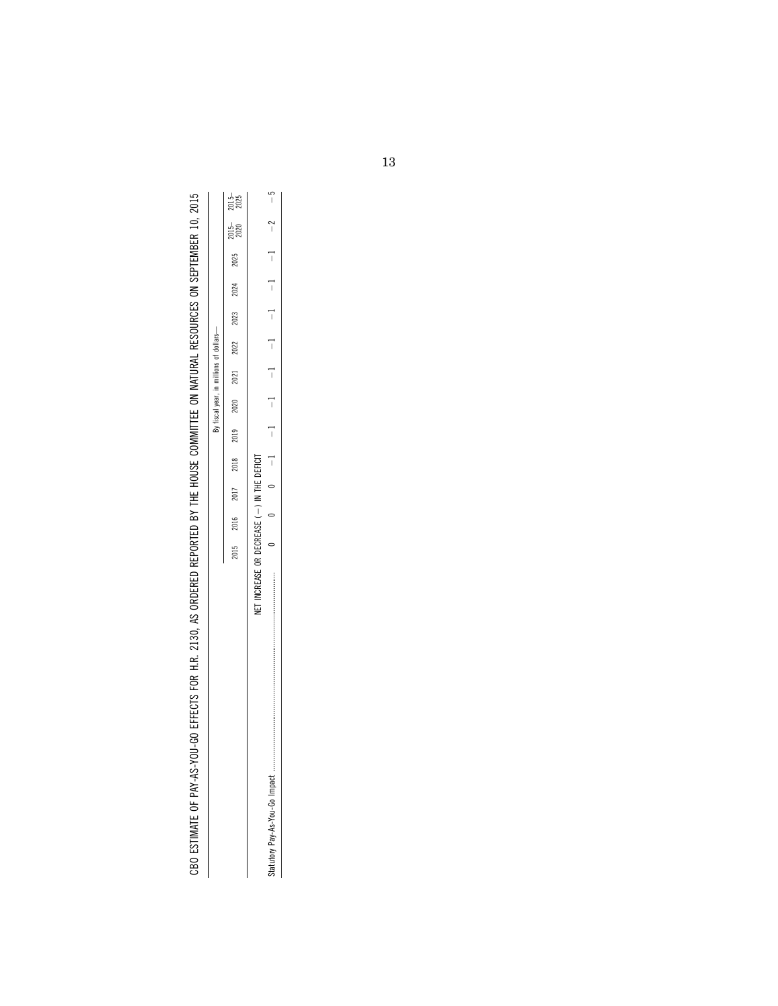| $\frac{1}{2}$                                                                    |  |
|----------------------------------------------------------------------------------|--|
| ׇ֚֓                                                                              |  |
| ;<br>;                                                                           |  |
|                                                                                  |  |
|                                                                                  |  |
|                                                                                  |  |
| ׇ֚֓֡                                                                             |  |
|                                                                                  |  |
|                                                                                  |  |
|                                                                                  |  |
|                                                                                  |  |
|                                                                                  |  |
|                                                                                  |  |
|                                                                                  |  |
|                                                                                  |  |
|                                                                                  |  |
|                                                                                  |  |
|                                                                                  |  |
|                                                                                  |  |
|                                                                                  |  |
|                                                                                  |  |
|                                                                                  |  |
| ve distribution is closed in different and the second contribution of the second |  |
|                                                                                  |  |
|                                                                                  |  |
|                                                                                  |  |
| I                                                                                |  |
|                                                                                  |  |
|                                                                                  |  |
|                                                                                  |  |
|                                                                                  |  |
|                                                                                  |  |
|                                                                                  |  |
|                                                                                  |  |
|                                                                                  |  |
|                                                                                  |  |
|                                                                                  |  |
|                                                                                  |  |
|                                                                                  |  |
|                                                                                  |  |
|                                                                                  |  |
|                                                                                  |  |
|                                                                                  |  |
|                                                                                  |  |
|                                                                                  |  |
|                                                                                  |  |
|                                                                                  |  |
|                                                                                  |  |
|                                                                                  |  |
|                                                                                  |  |
|                                                                                  |  |
|                                                                                  |  |
| ֚֘֝֬<br>ı                                                                        |  |
|                                                                                  |  |
|                                                                                  |  |
| Ï                                                                                |  |
| )<br>)<br>)<br>֠<br>۰                                                            |  |
| $\sim$ 10011.00 FEFEROTO FOR 11 D. 0100 AO ODDERED DEDORFER DV THE 100110 $\sim$ |  |
|                                                                                  |  |
|                                                                                  |  |
|                                                                                  |  |
|                                                                                  |  |
|                                                                                  |  |
|                                                                                  |  |
|                                                                                  |  |
|                                                                                  |  |
|                                                                                  |  |

بما

|                             | 2015–         |                          | م<br>ا                         |
|-----------------------------|---------------|--------------------------|--------------------------------|
|                             | 2015–<br>2020 |                          | ì                              |
|                             | 2025          |                          | l                              |
|                             | 2024          |                          | j                              |
|                             | 2023          |                          | $\overline{1}$                 |
|                             | 2022          |                          | ī                              |
| By fiscal year, in millions | 2021          |                          | ī                              |
|                             | 2020          |                          | l                              |
|                             | 2019          |                          | l                              |
|                             | 2018          |                          | İ                              |
|                             | 2017          |                          |                                |
|                             | 2016          | $\overline{\phantom{a}}$ |                                |
|                             | 2015          |                          |                                |
|                             |               | CREASE<br>⋤              | Statutory Pay-As-You-Go Impact |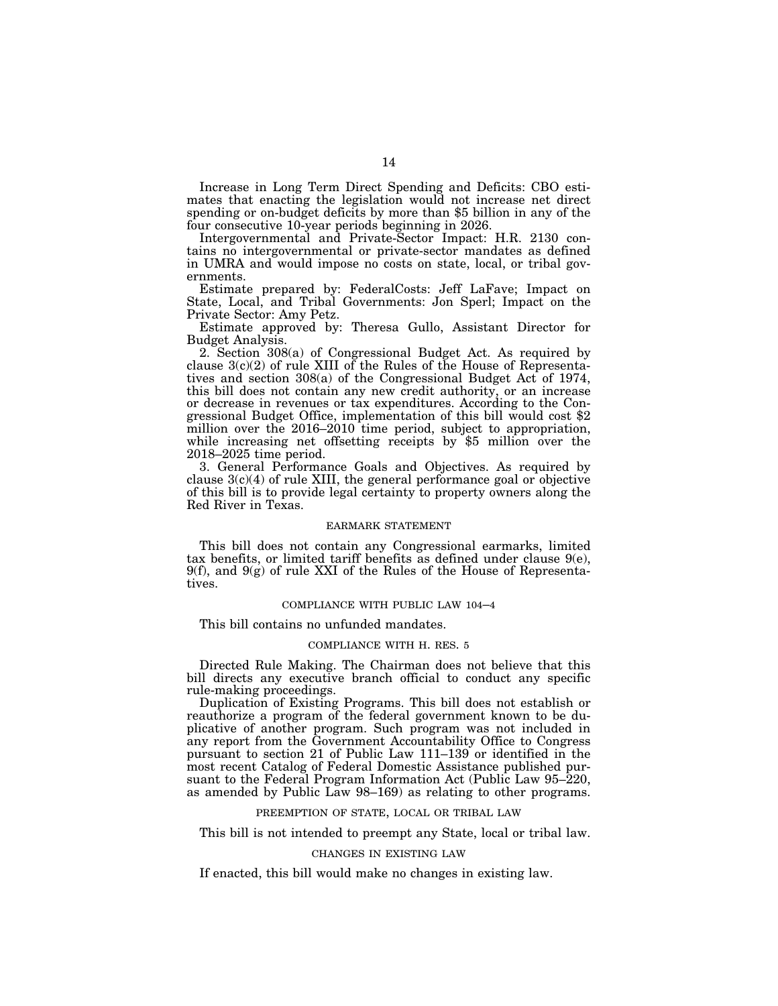Increase in Long Term Direct Spending and Deficits: CBO estimates that enacting the legislation would not increase net direct spending or on-budget deficits by more than \$5 billion in any of the four consecutive 10-year periods beginning in 2026.

Intergovernmental and Private-Sector Impact: H.R. 2130 contains no intergovernmental or private-sector mandates as defined in UMRA and would impose no costs on state, local, or tribal governments.

Estimate prepared by: FederalCosts: Jeff LaFave; Impact on State, Local, and Tribal Governments: Jon Sperl; Impact on the Private Sector: Amy Petz.

Estimate approved by: Theresa Gullo, Assistant Director for Budget Analysis.

2. Section 308(a) of Congressional Budget Act. As required by clause  $3(c)(2)$  of rule XIII of the Rules of the House of Representatives and section 308(a) of the Congressional Budget Act of 1974, this bill does not contain any new credit authority, or an increase or decrease in revenues or tax expenditures. According to the Congressional Budget Office, implementation of this bill would cost \$2 million over the 2016–2010 time period, subject to appropriation, while increasing net offsetting receipts by \$5 million over the 2018–2025 time period.

3. General Performance Goals and Objectives. As required by clause  $3(c)(4)$  of rule XIII, the general performance goal or objective of this bill is to provide legal certainty to property owners along the Red River in Texas.

### EARMARK STATEMENT

This bill does not contain any Congressional earmarks, limited tax benefits, or limited tariff benefits as defined under clause 9(e),  $9(f)$ , and  $9(g)$  of rule XXI of the Rules of the House of Representatives.

# COMPLIANCE WITH PUBLIC LAW 104–4

This bill contains no unfunded mandates.

# COMPLIANCE WITH H. RES. 5

Directed Rule Making. The Chairman does not believe that this bill directs any executive branch official to conduct any specific rule-making proceedings.

Duplication of Existing Programs. This bill does not establish or reauthorize a program of the federal government known to be duplicative of another program. Such program was not included in any report from the Government Accountability Office to Congress pursuant to section 21 of Public Law 111–139 or identified in the most recent Catalog of Federal Domestic Assistance published pursuant to the Federal Program Information Act (Public Law 95–220, as amended by Public Law 98–169) as relating to other programs.

# PREEMPTION OF STATE, LOCAL OR TRIBAL LAW

This bill is not intended to preempt any State, local or tribal law.

### CHANGES IN EXISTING LAW

If enacted, this bill would make no changes in existing law.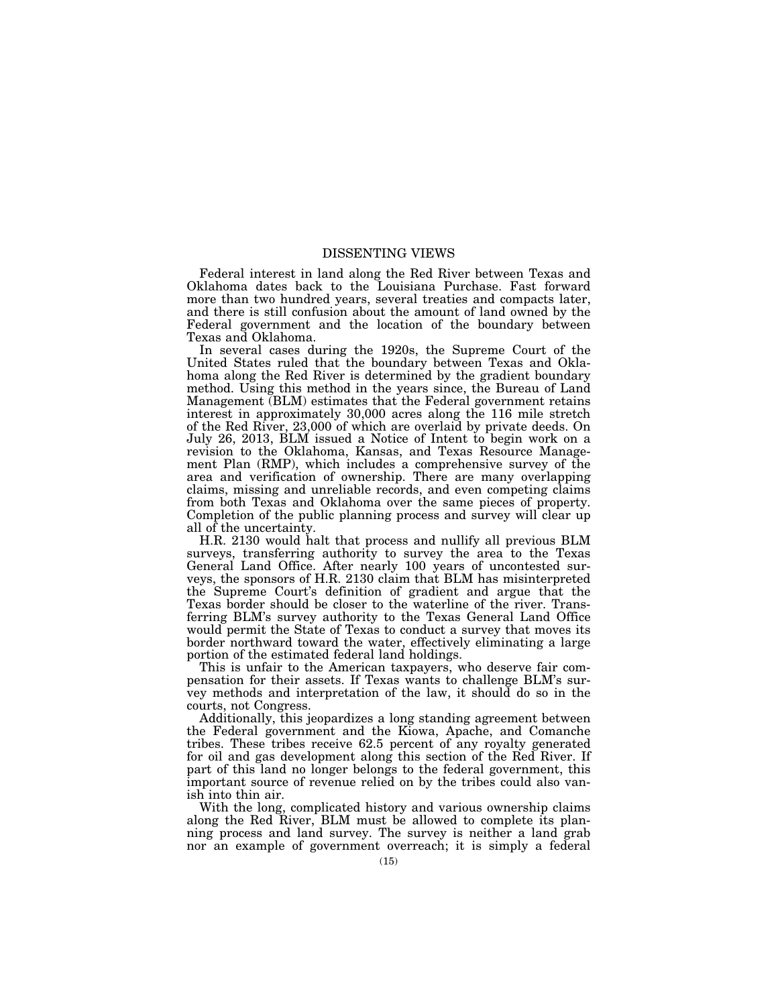# DISSENTING VIEWS

Federal interest in land along the Red River between Texas and Oklahoma dates back to the Louisiana Purchase. Fast forward more than two hundred years, several treaties and compacts later, and there is still confusion about the amount of land owned by the Federal government and the location of the boundary between Texas and Oklahoma.

In several cases during the 1920s, the Supreme Court of the United States ruled that the boundary between Texas and Oklahoma along the Red River is determined by the gradient boundary method. Using this method in the years since, the Bureau of Land Management (BLM) estimates that the Federal government retains interest in approximately 30,000 acres along the 116 mile stretch of the Red River, 23,000 of which are overlaid by private deeds. On July 26, 2013, BLM issued a Notice of Intent to begin work on a revision to the Oklahoma, Kansas, and Texas Resource Management Plan (RMP), which includes a comprehensive survey of the area and verification of ownership. There are many overlapping claims, missing and unreliable records, and even competing claims from both Texas and Oklahoma over the same pieces of property. Completion of the public planning process and survey will clear up all of the uncertainty.

H.R. 2130 would halt that process and nullify all previous BLM surveys, transferring authority to survey the area to the Texas General Land Office. After nearly 100 years of uncontested surveys, the sponsors of H.R. 2130 claim that BLM has misinterpreted the Supreme Court's definition of gradient and argue that the Texas border should be closer to the waterline of the river. Transferring BLM's survey authority to the Texas General Land Office would permit the State of Texas to conduct a survey that moves its border northward toward the water, effectively eliminating a large portion of the estimated federal land holdings.

This is unfair to the American taxpayers, who deserve fair compensation for their assets. If Texas wants to challenge BLM's survey methods and interpretation of the law, it should do so in the courts, not Congress.

Additionally, this jeopardizes a long standing agreement between the Federal government and the Kiowa, Apache, and Comanche tribes. These tribes receive 62.5 percent of any royalty generated for oil and gas development along this section of the Red River. If part of this land no longer belongs to the federal government, this important source of revenue relied on by the tribes could also vanish into thin air.

With the long, complicated history and various ownership claims along the Red River, BLM must be allowed to complete its planning process and land survey. The survey is neither a land grab nor an example of government overreach; it is simply a federal